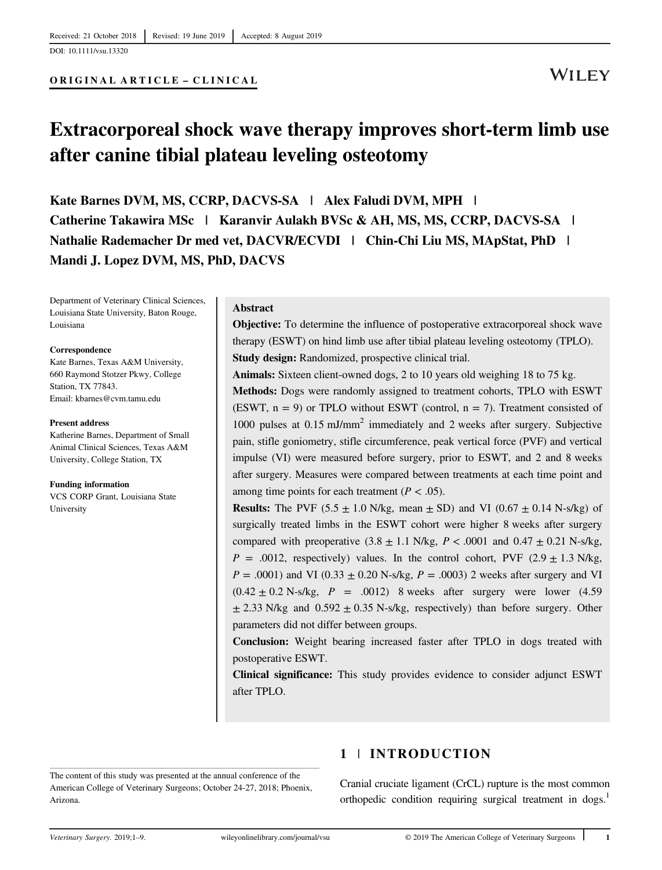## DOI: 10.1111/vsu.13320

Received: 21 October 2018 Revised: 19 June 2019 Accepted: 8 August 2019

# Extracorporeal shock wave therapy improves short-term limb use after canine tibial plateau leveling osteotomy

Kate Barnes DVM, MS, CCRP, DACVS-SA | Alex Faludi DVM, MPH | Catherine Takawira MSc | Karanvir Aulakh BVSc & AH, MS, MS, CCRP, DACVS-SA | Nathalie Rademacher Dr med vet, DACVR/ECVDI | Chin-Chi Liu MS, MApStat, PhD | Mandi J. Lopez DVM, MS, PhD, DACVS

Department of Veterinary Clinical Sciences, Louisiana State University, Baton Rouge, Louisiana

#### **Correspondence**

Kate Barnes, Texas A&M University, 660 Raymond Stotzer Pkwy, College Station, TX 77843. Email: [kbarnes@cvm.tamu.edu](mailto:kbarnes@cvm.tamu.edu)

#### Present address

Katherine Barnes, Department of Small Animal Clinical Sciences, Texas A&M University, College Station, TX

#### Funding information

VCS CORP Grant, Louisiana State University

#### Abstract

Objective: To determine the influence of postoperative extracorporeal shock wave therapy (ESWT) on hind limb use after tibial plateau leveling osteotomy (TPLO). Study design: Randomized, prospective clinical trial.

Animals: Sixteen client-owned dogs, 2 to 10 years old weighing 18 to 75 kg.

Methods: Dogs were randomly assigned to treatment cohorts, TPLO with ESWT (ESWT,  $n = 9$ ) or TPLO without ESWT (control,  $n = 7$ ). Treatment consisted of 1000 pulses at 0.15 mJ/mm<sup>2</sup> immediately and 2 weeks after surgery. Subjective pain, stifle goniometry, stifle circumference, peak vertical force (PVF) and vertical impulse (VI) were measured before surgery, prior to ESWT, and 2 and 8 weeks after surgery. Measures were compared between treatments at each time point and among time points for each treatment ( $P < .05$ ).

**Results:** The PVF  $(5.5 \pm 1.0 \text{ N/kg}, \text{mean} \pm \text{SD})$  and VI  $(0.67 \pm 0.14 \text{ N-s/kg})$  of surgically treated limbs in the ESWT cohort were higher 8 weeks after surgery compared with preoperative  $(3.8 \pm 1.1 \text{ N/kg}, P < .0001 \text{ and } 0.47 \pm 0.21 \text{ N-s/kg},$  $P = .0012$ , respectively) values. In the control cohort, PVF (2.9  $\pm$  1.3 N/kg,  $P = .0001$ ) and VI (0.33  $\pm$  0.20 N-s/kg,  $P = .0003$ ) 2 weeks after surgery and VI  $(0.42 \pm 0.2 \text{ N-s/kg}, P = .0012)$  8 weeks after surgery were lower (4.59)  $\pm$  2.33 N/kg and 0.592  $\pm$  0.35 N-s/kg, respectively) than before surgery. Other parameters did not differ between groups.

Conclusion: Weight bearing increased faster after TPLO in dogs treated with postoperative ESWT.

Clinical significance: This study provides evidence to consider adjunct ESWT after TPLO.

The content of this study was presented at the annual conference of the American College of Veterinary Surgeons; October 24-27, 2018; Phoenix, Arizona.

## 1 | INTRODUCTION

Cranial cruciate ligament (CrCL) rupture is the most common orthopedic condition requiring surgical treatment in dogs.<sup>1</sup>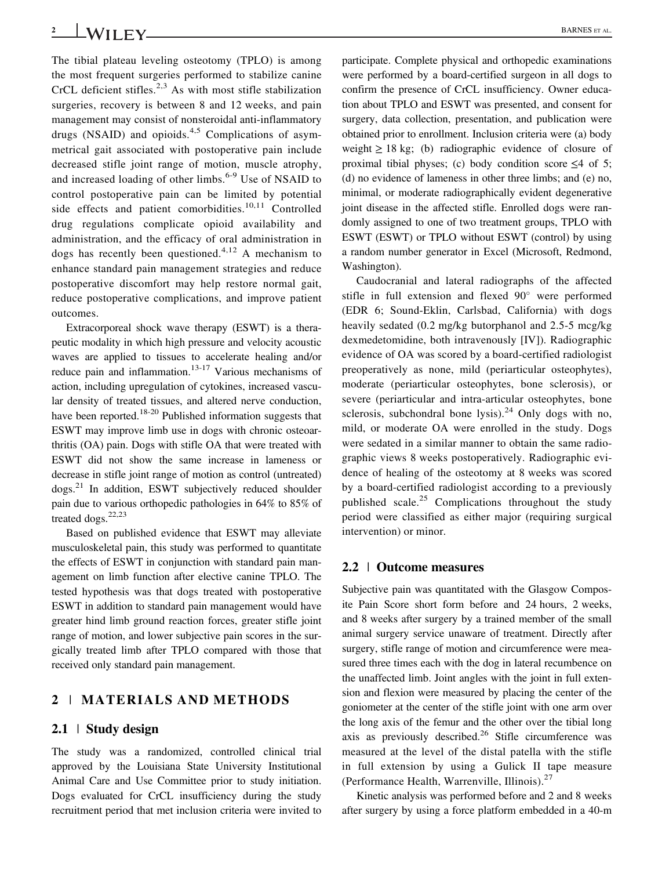The tibial plateau leveling osteotomy (TPLO) is among the most frequent surgeries performed to stabilize canine CrCL deficient stifles.<sup>2,3</sup> As with most stifle stabilization surgeries, recovery is between 8 and 12 weeks, and pain management may consist of nonsteroidal anti-inflammatory drugs (NSAID) and opioids.<sup>4,5</sup> Complications of asymmetrical gait associated with postoperative pain include decreased stifle joint range of motion, muscle atrophy, and increased loading of other limbs.<sup> $6-9$ </sup> Use of NSAID to control postoperative pain can be limited by potential side effects and patient comorbidities.<sup>10,11</sup> Controlled drug regulations complicate opioid availability and administration, and the efficacy of oral administration in dogs has recently been questioned.<sup>4,12</sup> A mechanism to enhance standard pain management strategies and reduce postoperative discomfort may help restore normal gait, reduce postoperative complications, and improve patient outcomes.

Extracorporeal shock wave therapy (ESWT) is a therapeutic modality in which high pressure and velocity acoustic waves are applied to tissues to accelerate healing and/or reduce pain and inflammation. $13-17$  Various mechanisms of action, including upregulation of cytokines, increased vascular density of treated tissues, and altered nerve conduction, have been reported.<sup>18-20</sup> Published information suggests that ESWT may improve limb use in dogs with chronic osteoarthritis (OA) pain. Dogs with stifle OA that were treated with ESWT did not show the same increase in lameness or decrease in stifle joint range of motion as control (untreated) dogs.<sup>21</sup> In addition, ESWT subjectively reduced shoulder pain due to various orthopedic pathologies in 64% to 85% of treated dogs. $22,23$ 

Based on published evidence that ESWT may alleviate musculoskeletal pain, this study was performed to quantitate the effects of ESWT in conjunction with standard pain management on limb function after elective canine TPLO. The tested hypothesis was that dogs treated with postoperative ESWT in addition to standard pain management would have greater hind limb ground reaction forces, greater stifle joint range of motion, and lower subjective pain scores in the surgically treated limb after TPLO compared with those that received only standard pain management.

## 2 | MATERIALS AND METHODS

### 2.1 | Study design

The study was a randomized, controlled clinical trial approved by the Louisiana State University Institutional Animal Care and Use Committee prior to study initiation. Dogs evaluated for CrCL insufficiency during the study recruitment period that met inclusion criteria were invited to

participate. Complete physical and orthopedic examinations were performed by a board-certified surgeon in all dogs to confirm the presence of CrCL insufficiency. Owner education about TPLO and ESWT was presented, and consent for surgery, data collection, presentation, and publication were obtained prior to enrollment. Inclusion criteria were (a) body weight  $\geq 18$  kg; (b) radiographic evidence of closure of proximal tibial physes; (c) body condition score  $\leq 4$  of 5; (d) no evidence of lameness in other three limbs; and (e) no, minimal, or moderate radiographically evident degenerative joint disease in the affected stifle. Enrolled dogs were randomly assigned to one of two treatment groups, TPLO with ESWT (ESWT) or TPLO without ESWT (control) by using a random number generator in Excel (Microsoft, Redmond, Washington).

Caudocranial and lateral radiographs of the affected stifle in full extension and flexed  $90^\circ$  were performed (EDR 6; Sound-Eklin, Carlsbad, California) with dogs heavily sedated (0.2 mg/kg butorphanol and 2.5-5 mcg/kg dexmedetomidine, both intravenously [IV]). Radiographic evidence of OA was scored by a board-certified radiologist preoperatively as none, mild (periarticular osteophytes), moderate (periarticular osteophytes, bone sclerosis), or severe (periarticular and intra-articular osteophytes, bone sclerosis, subchondral bone lysis).<sup>24</sup> Only dogs with no, mild, or moderate OA were enrolled in the study. Dogs were sedated in a similar manner to obtain the same radiographic views 8 weeks postoperatively. Radiographic evidence of healing of the osteotomy at 8 weeks was scored by a board-certified radiologist according to a previously published scale.<sup>25</sup> Complications throughout the study period were classified as either major (requiring surgical intervention) or minor.

#### 2.2 | Outcome measures

Subjective pain was quantitated with the Glasgow Composite Pain Score short form before and 24 hours, 2 weeks, and 8 weeks after surgery by a trained member of the small animal surgery service unaware of treatment. Directly after surgery, stifle range of motion and circumference were measured three times each with the dog in lateral recumbence on the unaffected limb. Joint angles with the joint in full extension and flexion were measured by placing the center of the goniometer at the center of the stifle joint with one arm over the long axis of the femur and the other over the tibial long axis as previously described.<sup>26</sup> Stifle circumference was measured at the level of the distal patella with the stifle in full extension by using a Gulick II tape measure (Performance Health, Warrenville, Illinois).<sup>27</sup>

Kinetic analysis was performed before and 2 and 8 weeks after surgery by using a force platform embedded in a 40-m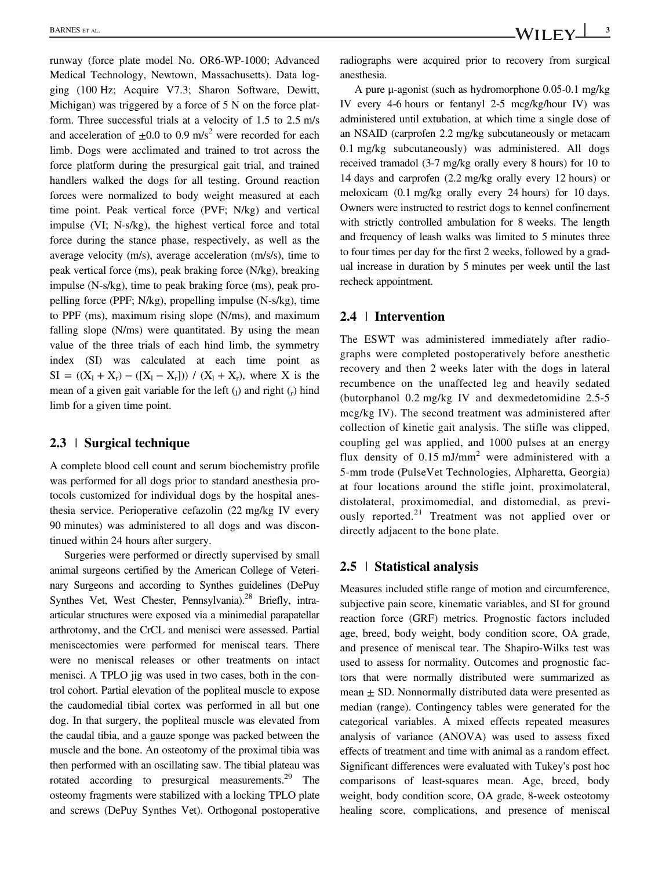runway (force plate model No. OR6-WP-1000; Advanced Medical Technology, Newtown, Massachusetts). Data logging (100 Hz; Acquire V7.3; Sharon Software, Dewitt, Michigan) was triggered by a force of 5 N on the force platform. Three successful trials at a velocity of 1.5 to 2.5 m/s and acceleration of  $\pm 0.0$  to 0.9 m/s<sup>2</sup> were recorded for each limb. Dogs were acclimated and trained to trot across the force platform during the presurgical gait trial, and trained handlers walked the dogs for all testing. Ground reaction forces were normalized to body weight measured at each time point. Peak vertical force (PVF; N/kg) and vertical impulse (VI; N-s/kg), the highest vertical force and total force during the stance phase, respectively, as well as the average velocity (m/s), average acceleration (m/s/s), time to peak vertical force (ms), peak braking force (N/kg), breaking impulse (N-s/kg), time to peak braking force (ms), peak propelling force (PPF; N/kg), propelling impulse (N-s/kg), time to PPF (ms), maximum rising slope (N/ms), and maximum falling slope (N/ms) were quantitated. By using the mean value of the three trials of each hind limb, the symmetry index (SI) was calculated at each time point as  $SI = ((X_1 + X_r) - ([X_1 - X_r])) / (X_1 + X_r)$ , where X is the mean of a given gait variable for the left  $\eta$ ) and right  $\eta$ ) hind limb for a given time point.

#### 2.3 | Surgical technique

A complete blood cell count and serum biochemistry profile was performed for all dogs prior to standard anesthesia protocols customized for individual dogs by the hospital anesthesia service. Perioperative cefazolin (22 mg/kg IV every 90 minutes) was administered to all dogs and was discontinued within 24 hours after surgery.

Surgeries were performed or directly supervised by small animal surgeons certified by the American College of Veterinary Surgeons and according to Synthes guidelines (DePuy Synthes Vet, West Chester, Pennsylvania).<sup>28</sup> Briefly, intraarticular structures were exposed via a minimedial parapatellar arthrotomy, and the CrCL and menisci were assessed. Partial meniscectomies were performed for meniscal tears. There were no meniscal releases or other treatments on intact menisci. A TPLO jig was used in two cases, both in the control cohort. Partial elevation of the popliteal muscle to expose the caudomedial tibial cortex was performed in all but one dog. In that surgery, the popliteal muscle was elevated from the caudal tibia, and a gauze sponge was packed between the muscle and the bone. An osteotomy of the proximal tibia was then performed with an oscillating saw. The tibial plateau was rotated according to presurgical measurements.<sup>29</sup> The osteomy fragments were stabilized with a locking TPLO plate and screws (DePuy Synthes Vet). Orthogonal postoperative

radiographs were acquired prior to recovery from surgical anesthesia.

A pure μ-agonist (such as hydromorphone 0.05-0.1 mg/kg IV every 4-6 hours or fentanyl 2-5 mcg/kg/hour IV) was administered until extubation, at which time a single dose of an NSAID (carprofen 2.2 mg/kg subcutaneously or metacam 0.1 mg/kg subcutaneously) was administered. All dogs received tramadol (3-7 mg/kg orally every 8 hours) for 10 to 14 days and carprofen (2.2 mg/kg orally every 12 hours) or meloxicam (0.1 mg/kg orally every 24 hours) for 10 days. Owners were instructed to restrict dogs to kennel confinement with strictly controlled ambulation for 8 weeks. The length and frequency of leash walks was limited to 5 minutes three to four times per day for the first 2 weeks, followed by a gradual increase in duration by 5 minutes per week until the last recheck appointment.

#### 2.4 | Intervention

The ESWT was administered immediately after radiographs were completed postoperatively before anesthetic recovery and then 2 weeks later with the dogs in lateral recumbence on the unaffected leg and heavily sedated (butorphanol 0.2 mg/kg IV and dexmedetomidine 2.5-5 mcg/kg IV). The second treatment was administered after collection of kinetic gait analysis. The stifle was clipped, coupling gel was applied, and 1000 pulses at an energy flux density of  $0.15$  mJ/mm<sup>2</sup> were administered with a 5-mm trode (PulseVet Technologies, Alpharetta, Georgia) at four locations around the stifle joint, proximolateral, distolateral, proximomedial, and distomedial, as previously reported.<sup>21</sup> Treatment was not applied over or directly adjacent to the bone plate.

#### 2.5 | Statistical analysis

Measures included stifle range of motion and circumference, subjective pain score, kinematic variables, and SI for ground reaction force (GRF) metrics. Prognostic factors included age, breed, body weight, body condition score, OA grade, and presence of meniscal tear. The Shapiro-Wilks test was used to assess for normality. Outcomes and prognostic factors that were normally distributed were summarized as mean  $\pm$  SD. Nonnormally distributed data were presented as median (range). Contingency tables were generated for the categorical variables. A mixed effects repeated measures analysis of variance (ANOVA) was used to assess fixed effects of treatment and time with animal as a random effect. Significant differences were evaluated with Tukey's post hoc comparisons of least-squares mean. Age, breed, body weight, body condition score, OA grade, 8-week osteotomy healing score, complications, and presence of meniscal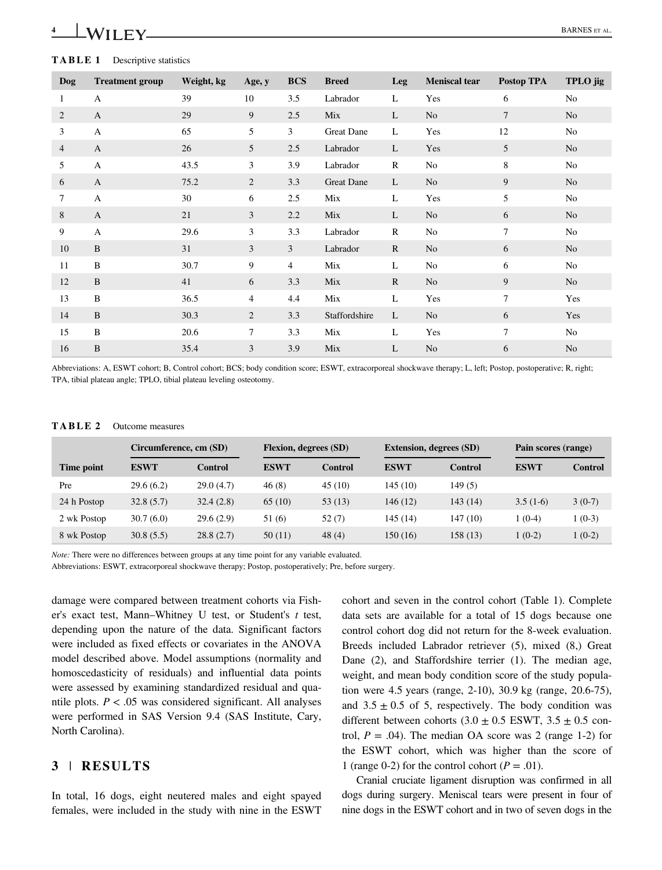#### TABLE 1 Descriptive statistics

| <b>Dog</b>     | <b>Treatment group</b> | Weight, kg | Age, y           | <b>BCS</b>     | <b>Breed</b>      | Leg          | <b>Meniscal tear</b> | Postop TPA     | TPLO jig       |
|----------------|------------------------|------------|------------------|----------------|-------------------|--------------|----------------------|----------------|----------------|
| $\mathbf{1}$   | A                      | 39         | 10               | 3.5            | Labrador          | L            | Yes                  | 6              | No             |
| $\overline{2}$ | $\mathbf{A}$           | 29         | 9                | 2.5            | Mix               | L            | No                   | $\overline{7}$ | N <sub>o</sub> |
| 3              | A                      | 65         | 5                | 3              | Great Dane        | L            | Yes                  | 12             | No             |
| $\overline{4}$ | $\mathbf{A}$           | 26         | 5                | 2.5            | Labrador          | L            | Yes                  | 5              | N <sub>o</sub> |
| 5              | A                      | 43.5       | 3                | 3.9            | Labrador          | $\mathbf R$  | No                   | $\,8\,$        | No             |
| 6              | $\mathbf{A}$           | 75.2       | 2                | 3.3            | <b>Great Dane</b> | L            | No                   | 9              | N <sub>o</sub> |
| 7              | A                      | 30         | 6                | 2.5            | Mix               | L            | Yes                  | 5              | No             |
| 8              | $\mathbf{A}$           | 21         | 3                | 2.2            | Mix               | L            | N <sub>o</sub>       | 6              | N <sub>o</sub> |
| 9              | A                      | 29.6       | 3                | 3.3            | Labrador          | $\mathbf R$  | No                   | $\tau$         | No             |
| 10             | $\, {\bf B}$           | 31         | 3                | $\mathfrak{Z}$ | Labrador          | $\mathbf R$  | No                   | 6              | N <sub>o</sub> |
| 11             | $\, {\bf B}$           | 30.7       | $\boldsymbol{9}$ | $\overline{4}$ | Mix               | L            | No                   | 6              | No             |
| 12             | $\, {\bf B}$           | 41         | 6                | 3.3            | Mix               | $\mathbb{R}$ | N <sub>o</sub>       | 9              | N <sub>o</sub> |
| 13             | $\, {\bf B}$           | 36.5       | $\overline{4}$   | 4.4            | Mix               | L            | Yes                  | $\overline{7}$ | Yes            |
| 14             | B                      | 30.3       | 2                | 3.3            | Staffordshire     | L            | N <sub>o</sub>       | 6              | Yes            |
| 15             | $\, {\bf B}$           | 20.6       | $\tau$           | 3.3            | Mix               | L            | Yes                  | $\overline{7}$ | No             |
| 16             | $\, {\bf B}$           | 35.4       | 3                | 3.9            | Mix               | L            | N <sub>o</sub>       | 6              | N <sub>o</sub> |

Abbreviations: A, ESWT cohort; B, Control cohort; BCS; body condition score; ESWT, extracorporeal shockwave therapy; L, left; Postop, postoperative; R, right; TPA, tibial plateau angle; TPLO, tibial plateau leveling osteotomy.

#### TABLE 2 Outcome measures

|             | Circumference, cm (SD) |                | <b>Flexion, degrees (SD)</b> |                | <b>Extension, degrees (SD)</b> |                | Pain scores (range) |                |
|-------------|------------------------|----------------|------------------------------|----------------|--------------------------------|----------------|---------------------|----------------|
| Time point  | <b>ESWT</b>            | <b>Control</b> | <b>ESWT</b>                  | <b>Control</b> | <b>ESWT</b>                    | <b>Control</b> | <b>ESWT</b>         | <b>Control</b> |
| Pre         | 29.6(6.2)              | 29.0(4.7)      | 46(8)                        | 45(10)         | 145 (10)                       | 149(5)         |                     |                |
| 24 h Postop | 32.8(5.7)              | 32.4(2.8)      | 65(10)                       | 53(13)         | 146(12)                        | 143 (14)       | $3.5(1-6)$          | $3(0-7)$       |
| 2 wk Postop | 30.7(6.0)              | 29.6(2.9)      | 51 (6)                       | 52(7)          | 145(14)                        | 147 (10)       | $1(0-4)$            | $1(0-3)$       |
| 8 wk Postop | 30.8(5.5)              | 28.8(2.7)      | 50(11)                       | 48(4)          | 150 (16)                       | 158 (13)       | $1(0-2)$            | $1(0-2)$       |

Note: There were no differences between groups at any time point for any variable evaluated.

Abbreviations: ESWT, extracorporeal shockwave therapy; Postop, postoperatively; Pre, before surgery.

damage were compared between treatment cohorts via Fisher's exact test, Mann–Whitney U test, or Student's  $t$  test, depending upon the nature of the data. Significant factors were included as fixed effects or covariates in the ANOVA model described above. Model assumptions (normality and homoscedasticity of residuals) and influential data points were assessed by examining standardized residual and quantile plots.  $P < .05$  was considered significant. All analyses were performed in SAS Version 9.4 (SAS Institute, Cary, North Carolina).

## 3 | RESULTS

In total, 16 dogs, eight neutered males and eight spayed females, were included in the study with nine in the ESWT cohort and seven in the control cohort (Table 1). Complete data sets are available for a total of 15 dogs because one control cohort dog did not return for the 8-week evaluation. Breeds included Labrador retriever (5), mixed (8,) Great Dane (2), and Staffordshire terrier (1). The median age, weight, and mean body condition score of the study population were 4.5 years (range, 2-10), 30.9 kg (range, 20.6-75), and  $3.5 \pm 0.5$  of 5, respectively. The body condition was different between cohorts  $(3.0 \pm 0.5$  ESWT,  $3.5 \pm 0.5$  control,  $P = .04$ ). The median OA score was 2 (range 1-2) for the ESWT cohort, which was higher than the score of 1 (range 0-2) for the control cohort ( $P = .01$ ).

Cranial cruciate ligament disruption was confirmed in all dogs during surgery. Meniscal tears were present in four of nine dogs in the ESWT cohort and in two of seven dogs in the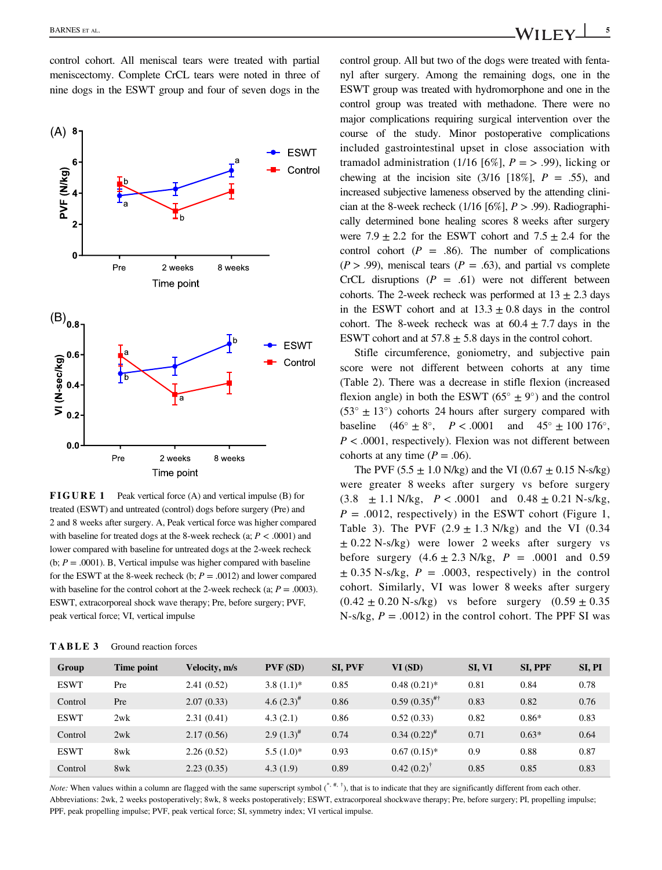BARNES ET AL.  $\frac{5}{5}$ 

control cohort. All meniscal tears were treated with partial meniscectomy. Complete CrCL tears were noted in three of nine dogs in the ESWT group and four of seven dogs in the



FIGURE 1 Peak vertical force (A) and vertical impulse (B) for treated (ESWT) and untreated (control) dogs before surgery (Pre) and 2 and 8 weeks after surgery. A, Peak vertical force was higher compared with baseline for treated dogs at the 8-week recheck (a;  $P < .0001$ ) and lower compared with baseline for untreated dogs at the 2-week recheck (b;  $P = .0001$ ). B, Vertical impulse was higher compared with baseline for the ESWT at the 8-week recheck (b;  $P = .0012$ ) and lower compared with baseline for the control cohort at the 2-week recheck (a;  $P = .0003$ ). ESWT, extracorporeal shock wave therapy; Pre, before surgery; PVF, peak vertical force; VI, vertical impulse

| TABLE 3 | Ground reaction forces |
|---------|------------------------|
|         |                        |
|         |                        |

control group. All but two of the dogs were treated with fentanyl after surgery. Among the remaining dogs, one in the ESWT group was treated with hydromorphone and one in the control group was treated with methadone. There were no major complications requiring surgical intervention over the course of the study. Minor postoperative complications included gastrointestinal upset in close association with tramadol administration (1/16 [6%],  $P = > .99$ ), licking or chewing at the incision site  $(3/16 \text{ } [18\%], P = .55)$ , and increased subjective lameness observed by the attending clinician at the 8-week recheck (1/16  $[6\%]$ ,  $P > .99$ ). Radiographically determined bone healing scores 8 weeks after surgery were  $7.9 \pm 2.2$  for the ESWT cohort and  $7.5 \pm 2.4$  for the control cohort ( $P = .86$ ). The number of complications  $(P > .99)$ , meniscal tears  $(P = .63)$ , and partial vs complete CrCL disruptions  $(P = .61)$  were not different between cohorts. The 2-week recheck was performed at  $13 \pm 2.3$  days in the ESWT cohort and at  $13.3 \pm 0.8$  days in the control cohort. The 8-week recheck was at  $60.4 \pm 7.7$  days in the ESWT cohort and at  $57.8 \pm 5.8$  days in the control cohort.

Stifle circumference, goniometry, and subjective pain score were not different between cohorts at any time (Table 2). There was a decrease in stifle flexion (increased flexion angle) in both the ESWT ( $65^{\circ} \pm 9^{\circ}$ ) and the control  $(53^{\circ} \pm 13^{\circ})$  cohorts 24 hours after surgery compared with baseline  $(46^{\circ} \pm 8^{\circ})$ ,  $P < .0001$  and  $45^{\circ} \pm 100$  176°,  $P < .0001$ , respectively). Flexion was not different between cohorts at any time  $(P = .06)$ .

The PVF (5.5  $\pm$  1.0 N/kg) and the VI (0.67  $\pm$  0.15 N-s/kg) were greater 8 weeks after surgery vs before surgery  $(3.8 \pm 1.1 \text{ N/kg}, P < .0001 \text{ and } 0.48 \pm 0.21 \text{ N-s/kg},$  $P = .0012$ , respectively) in the ESWT cohort (Figure 1, Table 3). The PVF  $(2.9 \pm 1.3 \text{ N/kg})$  and the VI  $(0.34)$  $\pm$  0.22 N-s/kg) were lower 2 weeks after surgery vs before surgery  $(4.6 \pm 2.3 \text{ N/kg}, P = .0001 \text{ and } 0.59$  $\pm$  0.35 N-s/kg,  $P = .0003$ , respectively) in the control cohort. Similarly, VI was lower 8 weeks after surgery  $(0.42 \pm 0.20 \text{ N-s/kg})$  vs before surgery  $(0.59 \pm 0.35$ N-s/kg,  $P = .0012$ ) in the control cohort. The PPF SI was

| Group       | Time point | Velocity, m/s | PVF(SD)         | <b>SI, PVF</b> | VI(SD)                     | SI, VI | <b>SI. PPF</b> | SI, PI |
|-------------|------------|---------------|-----------------|----------------|----------------------------|--------|----------------|--------|
| <b>ESWT</b> | Pre        | 2.41(0.52)    | $3.8(1.1)^*$    | 0.85           | $0.48(0.21)$ *             | 0.81   | 0.84           | 0.78   |
| Control     | Pre        | 2.07(0.33)    | 4.6 $(2.3)^{4}$ | 0.86           | $0.59(0.35)$ <sup>#†</sup> | 0.83   | 0.82           | 0.76   |
| <b>ESWT</b> | 2wk        | 2.31(0.41)    | 4.3(2.1)        | 0.86           | 0.52(0.33)                 | 0.82   | $0.86*$        | 0.83   |
| Control     | 2wk        | 2.17(0.56)    | $2.9(1.3)^{#}$  | 0.74           | $0.34(0.22)^{#}$           | 0.71   | $0.63*$        | 0.64   |
| <b>ESWT</b> | 8wk        | 2.26(0.52)    | $5.5(1.0)^*$    | 0.93           | $0.67(0.15)*$              | 0.9    | 0.88           | 0.87   |
| Control     | 8wk        | 2.23(0.35)    | 4.3(1.9)        | 0.89           | $0.42(0.2)^{T}$            | 0.85   | 0.85           | 0.83   |

*Note:* When values within a column are flagged with the same superscript symbol  $(\cdot^*, \#, \dagger)$ , that is to indicate that they are significantly different from each other. Abbreviations: 2wk, 2 weeks postoperatively; 8wk, 8 weeks postoperatively; ESWT, extracorporeal shockwave therapy; Pre, before surgery; PI, propelling impulse; PPF, peak propelling impulse; PVF, peak vertical force; SI, symmetry index; VI vertical impulse.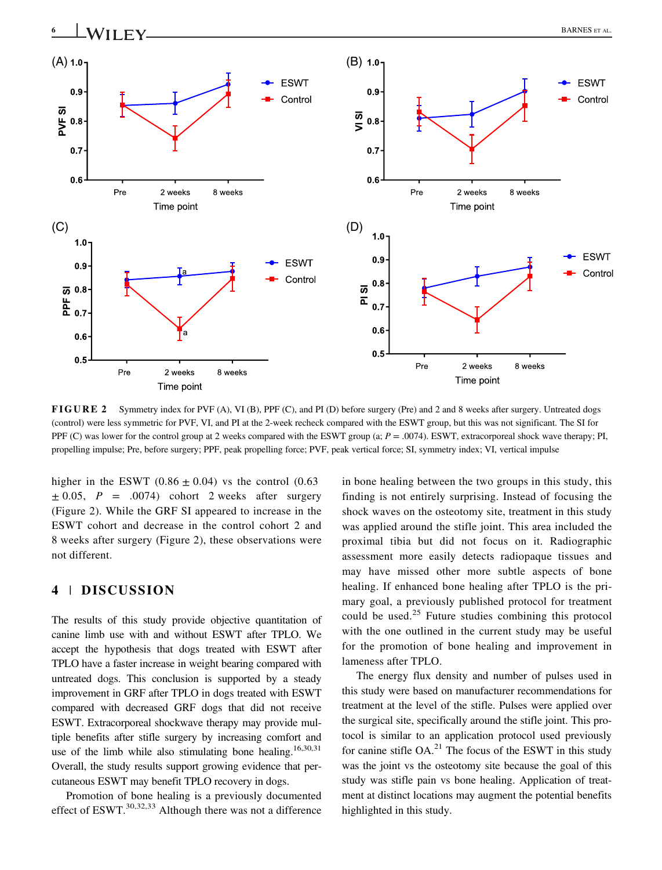

FIGURE 2 Symmetry index for PVF (A), VI (B), PPF (C), and PI (D) before surgery (Pre) and 2 and 8 weeks after surgery. Untreated dogs (control) were less symmetric for PVF, VI, and PI at the 2-week recheck compared with the ESWT group, but this was not significant. The SI for PPF (C) was lower for the control group at 2 weeks compared with the ESWT group (a;  $P = .0074$ ). ESWT, extracorporeal shock wave therapy; PI, propelling impulse; Pre, before surgery; PPF, peak propelling force; PVF, peak vertical force; SI, symmetry index; VI, vertical impulse

higher in the ESWT  $(0.86 \pm 0.04)$  vs the control  $(0.63$  $\pm 0.05$ ,  $P = .0074$ ) cohort 2 weeks after surgery (Figure 2). While the GRF SI appeared to increase in the ESWT cohort and decrease in the control cohort 2 and 8 weeks after surgery (Figure 2), these observations were not different.

## 4 | DISCUSSION

The results of this study provide objective quantitation of canine limb use with and without ESWT after TPLO. We accept the hypothesis that dogs treated with ESWT after TPLO have a faster increase in weight bearing compared with untreated dogs. This conclusion is supported by a steady improvement in GRF after TPLO in dogs treated with ESWT compared with decreased GRF dogs that did not receive ESWT. Extracorporeal shockwave therapy may provide multiple benefits after stifle surgery by increasing comfort and use of the limb while also stimulating bone healing.<sup>16,30,31</sup> Overall, the study results support growing evidence that percutaneous ESWT may benefit TPLO recovery in dogs.

Promotion of bone healing is a previously documented effect of  $ESWT.<sup>30,32,33</sup>$  Although there was not a difference in bone healing between the two groups in this study, this finding is not entirely surprising. Instead of focusing the shock waves on the osteotomy site, treatment in this study was applied around the stifle joint. This area included the proximal tibia but did not focus on it. Radiographic assessment more easily detects radiopaque tissues and may have missed other more subtle aspects of bone healing. If enhanced bone healing after TPLO is the primary goal, a previously published protocol for treatment could be used. $25$  Future studies combining this protocol with the one outlined in the current study may be useful for the promotion of bone healing and improvement in lameness after TPLO.

The energy flux density and number of pulses used in this study were based on manufacturer recommendations for treatment at the level of the stifle. Pulses were applied over the surgical site, specifically around the stifle joint. This protocol is similar to an application protocol used previously for canine stifle  $OA<sup>21</sup>$ . The focus of the ESWT in this study was the joint vs the osteotomy site because the goal of this study was stifle pain vs bone healing. Application of treatment at distinct locations may augment the potential benefits highlighted in this study.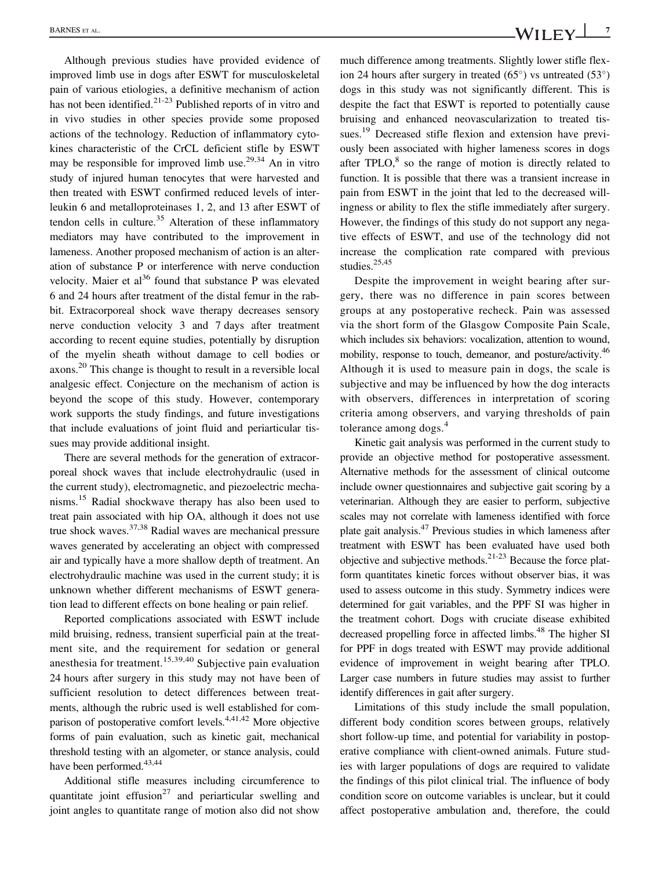Although previous studies have provided evidence of improved limb use in dogs after ESWT for musculoskeletal pain of various etiologies, a definitive mechanism of action has not been identified.<sup>21-23</sup> Published reports of in vitro and in vivo studies in other species provide some proposed actions of the technology. Reduction of inflammatory cytokines characteristic of the CrCL deficient stifle by ESWT may be responsible for improved limb use.<sup>29,34</sup> An in vitro study of injured human tenocytes that were harvested and then treated with ESWT confirmed reduced levels of interleukin 6 and metalloproteinases 1, 2, and 13 after ESWT of tendon cells in culture. $35$  Alteration of these inflammatory mediators may have contributed to the improvement in lameness. Another proposed mechanism of action is an alteration of substance P or interference with nerve conduction velocity. Maier et al<sup>36</sup> found that substance P was elevated 6 and 24 hours after treatment of the distal femur in the rabbit. Extracorporeal shock wave therapy decreases sensory nerve conduction velocity 3 and 7 days after treatment according to recent equine studies, potentially by disruption of the myelin sheath without damage to cell bodies or axons.<sup>20</sup> This change is thought to result in a reversible local analgesic effect. Conjecture on the mechanism of action is beyond the scope of this study. However, contemporary work supports the study findings, and future investigations that include evaluations of joint fluid and periarticular tissues may provide additional insight.

There are several methods for the generation of extracorporeal shock waves that include electrohydraulic (used in the current study), electromagnetic, and piezoelectric mechanisms.<sup>15</sup> Radial shockwave therapy has also been used to treat pain associated with hip OA, although it does not use true shock waves.37,38 Radial waves are mechanical pressure waves generated by accelerating an object with compressed air and typically have a more shallow depth of treatment. An electrohydraulic machine was used in the current study; it is unknown whether different mechanisms of ESWT generation lead to different effects on bone healing or pain relief.

Reported complications associated with ESWT include mild bruising, redness, transient superficial pain at the treatment site, and the requirement for sedation or general anesthesia for treatment.<sup>15,39,40</sup> Subjective pain evaluation 24 hours after surgery in this study may not have been of sufficient resolution to detect differences between treatments, although the rubric used is well established for comparison of postoperative comfort levels.4,41,42 More objective forms of pain evaluation, such as kinetic gait, mechanical threshold testing with an algometer, or stance analysis, could have been performed.<sup>43,44</sup>

Additional stifle measures including circumference to quantitate joint effusion<sup>27</sup> and periarticular swelling and joint angles to quantitate range of motion also did not show much difference among treatments. Slightly lower stifle flexion 24 hours after surgery in treated  $(65^{\circ})$  vs untreated  $(53^{\circ})$ dogs in this study was not significantly different. This is despite the fact that ESWT is reported to potentially cause bruising and enhanced neovascularization to treated tissues.<sup>19</sup> Decreased stifle flexion and extension have previously been associated with higher lameness scores in dogs after TPLO, $8$  so the range of motion is directly related to function. It is possible that there was a transient increase in pain from ESWT in the joint that led to the decreased willingness or ability to flex the stifle immediately after surgery. However, the findings of this study do not support any negative effects of ESWT, and use of the technology did not increase the complication rate compared with previous studies. $25,45$ 

Despite the improvement in weight bearing after surgery, there was no difference in pain scores between groups at any postoperative recheck. Pain was assessed via the short form of the Glasgow Composite Pain Scale, which includes six behaviors: vocalization, attention to wound, mobility, response to touch, demeanor, and posture/activity.<sup>46</sup> Although it is used to measure pain in dogs, the scale is subjective and may be influenced by how the dog interacts with observers, differences in interpretation of scoring criteria among observers, and varying thresholds of pain tolerance among dogs.<sup>4</sup>

Kinetic gait analysis was performed in the current study to provide an objective method for postoperative assessment. Alternative methods for the assessment of clinical outcome include owner questionnaires and subjective gait scoring by a veterinarian. Although they are easier to perform, subjective scales may not correlate with lameness identified with force plate gait analysis.47 Previous studies in which lameness after treatment with ESWT has been evaluated have used both objective and subjective methods.<sup>21-23</sup> Because the force platform quantitates kinetic forces without observer bias, it was used to assess outcome in this study. Symmetry indices were determined for gait variables, and the PPF SI was higher in the treatment cohort. Dogs with cruciate disease exhibited decreased propelling force in affected limbs.<sup>48</sup> The higher SI for PPF in dogs treated with ESWT may provide additional evidence of improvement in weight bearing after TPLO. Larger case numbers in future studies may assist to further identify differences in gait after surgery.

Limitations of this study include the small population, different body condition scores between groups, relatively short follow-up time, and potential for variability in postoperative compliance with client-owned animals. Future studies with larger populations of dogs are required to validate the findings of this pilot clinical trial. The influence of body condition score on outcome variables is unclear, but it could affect postoperative ambulation and, therefore, the could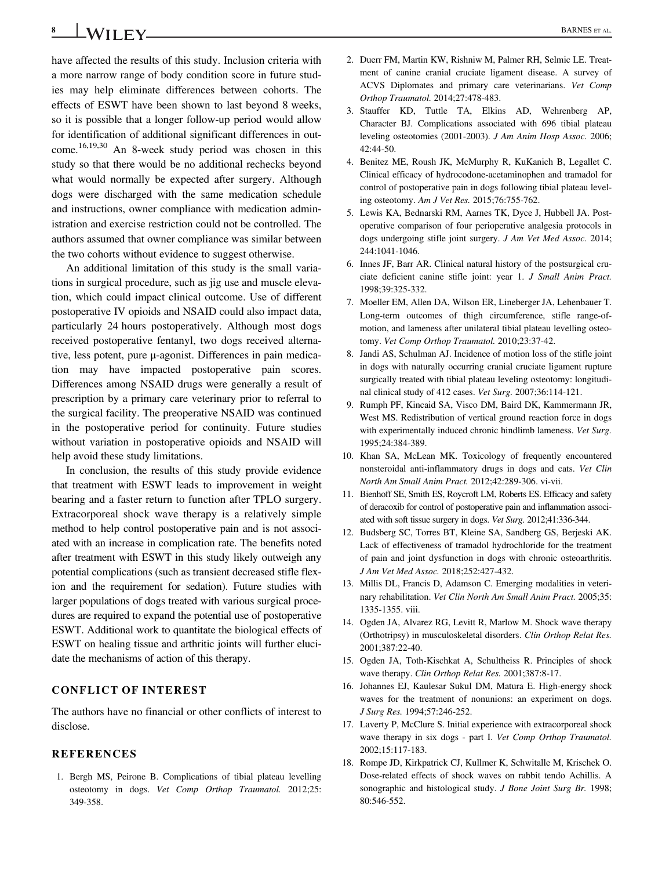# 8 **LWII FY** BARNES ET AL.

have affected the results of this study. Inclusion criteria with a more narrow range of body condition score in future studies may help eliminate differences between cohorts. The effects of ESWT have been shown to last beyond 8 weeks, so it is possible that a longer follow-up period would allow for identification of additional significant differences in outcome.16,19,30 An 8-week study period was chosen in this study so that there would be no additional rechecks beyond what would normally be expected after surgery. Although dogs were discharged with the same medication schedule and instructions, owner compliance with medication administration and exercise restriction could not be controlled. The authors assumed that owner compliance was similar between the two cohorts without evidence to suggest otherwise.

An additional limitation of this study is the small variations in surgical procedure, such as jig use and muscle elevation, which could impact clinical outcome. Use of different postoperative IV opioids and NSAID could also impact data, particularly 24 hours postoperatively. Although most dogs received postoperative fentanyl, two dogs received alternative, less potent, pure μ-agonist. Differences in pain medication may have impacted postoperative pain scores. Differences among NSAID drugs were generally a result of prescription by a primary care veterinary prior to referral to the surgical facility. The preoperative NSAID was continued in the postoperative period for continuity. Future studies without variation in postoperative opioids and NSAID will help avoid these study limitations.

In conclusion, the results of this study provide evidence that treatment with ESWT leads to improvement in weight bearing and a faster return to function after TPLO surgery. Extracorporeal shock wave therapy is a relatively simple method to help control postoperative pain and is not associated with an increase in complication rate. The benefits noted after treatment with ESWT in this study likely outweigh any potential complications (such as transient decreased stifle flexion and the requirement for sedation). Future studies with larger populations of dogs treated with various surgical procedures are required to expand the potential use of postoperative ESWT. Additional work to quantitate the biological effects of ESWT on healing tissue and arthritic joints will further elucidate the mechanisms of action of this therapy.

#### CONFLICT OF INTEREST

The authors have no financial or other conflicts of interest to disclose.

#### REFERENCES

1. Bergh MS, Peirone B. Complications of tibial plateau levelling osteotomy in dogs. Vet Comp Orthop Traumatol. 2012;25: 349-358.

- 2. Duerr FM, Martin KW, Rishniw M, Palmer RH, Selmic LE. Treatment of canine cranial cruciate ligament disease. A survey of ACVS Diplomates and primary care veterinarians. Vet Comp Orthop Traumatol. 2014;27:478-483.
- 3. Stauffer KD, Tuttle TA, Elkins AD, Wehrenberg AP, Character BJ. Complications associated with 696 tibial plateau leveling osteotomies (2001-2003). J Am Anim Hosp Assoc. 2006; 42:44-50.
- 4. Benitez ME, Roush JK, McMurphy R, KuKanich B, Legallet C. Clinical efficacy of hydrocodone-acetaminophen and tramadol for control of postoperative pain in dogs following tibial plateau leveling osteotomy. Am J Vet Res. 2015;76:755-762.
- 5. Lewis KA, Bednarski RM, Aarnes TK, Dyce J, Hubbell JA. Postoperative comparison of four perioperative analgesia protocols in dogs undergoing stifle joint surgery. J Am Vet Med Assoc. 2014; 244:1041-1046.
- 6. Innes JF, Barr AR. Clinical natural history of the postsurgical cruciate deficient canine stifle joint: year 1. J Small Anim Pract. 1998;39:325-332.
- 7. Moeller EM, Allen DA, Wilson ER, Lineberger JA, Lehenbauer T. Long-term outcomes of thigh circumference, stifle range-ofmotion, and lameness after unilateral tibial plateau levelling osteotomy. Vet Comp Orthop Traumatol. 2010;23:37-42.
- 8. Jandi AS, Schulman AJ. Incidence of motion loss of the stifle joint in dogs with naturally occurring cranial cruciate ligament rupture surgically treated with tibial plateau leveling osteotomy: longitudinal clinical study of 412 cases. Vet Surg. 2007;36:114-121.
- 9. Rumph PF, Kincaid SA, Visco DM, Baird DK, Kammermann JR, West MS. Redistribution of vertical ground reaction force in dogs with experimentally induced chronic hindlimb lameness. Vet Surg. 1995;24:384-389.
- 10. Khan SA, McLean MK. Toxicology of frequently encountered nonsteroidal anti-inflammatory drugs in dogs and cats. Vet Clin North Am Small Anim Pract. 2012;42:289-306. vi-vii.
- 11. Bienhoff SE, Smith ES, Roycroft LM, Roberts ES. Efficacy and safety of deracoxib for control of postoperative pain and inflammation associated with soft tissue surgery in dogs. Vet Surg. 2012;41:336-344.
- 12. Budsberg SC, Torres BT, Kleine SA, Sandberg GS, Berjeski AK. Lack of effectiveness of tramadol hydrochloride for the treatment of pain and joint dysfunction in dogs with chronic osteoarthritis. J Am Vet Med Assoc. 2018;252:427-432.
- 13. Millis DL, Francis D, Adamson C. Emerging modalities in veterinary rehabilitation. Vet Clin North Am Small Anim Pract. 2005;35: 1335-1355. viii.
- 14. Ogden JA, Alvarez RG, Levitt R, Marlow M. Shock wave therapy (Orthotripsy) in musculoskeletal disorders. Clin Orthop Relat Res. 2001;387:22-40.
- 15. Ogden JA, Toth-Kischkat A, Schultheiss R. Principles of shock wave therapy. Clin Orthop Relat Res. 2001;387:8-17.
- 16. Johannes EJ, Kaulesar Sukul DM, Matura E. High-energy shock waves for the treatment of nonunions: an experiment on dogs. J Surg Res. 1994;57:246-252.
- 17. Laverty P, McClure S. Initial experience with extracorporeal shock wave therapy in six dogs - part I. Vet Comp Orthop Traumatol. 2002;15:117-183.
- 18. Rompe JD, Kirkpatrick CJ, Kullmer K, Schwitalle M, Krischek O. Dose-related effects of shock waves on rabbit tendo Achillis. A sonographic and histological study. *J Bone Joint Surg Br.* 1998; 80:546-552.